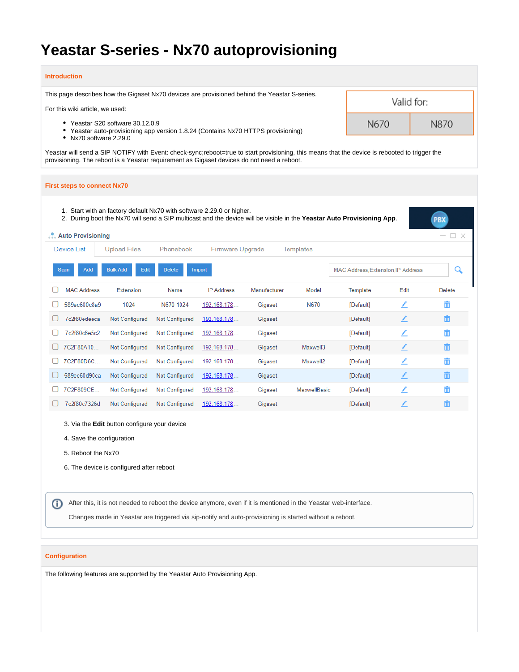# **Yeastar S-series - Nx70 autoprovisioning**

#### **Introduction**

This page describes how the Gigaset Nx70 devices are provisioned behind the Yeastar S-series.

For this wiki article, we used:

- Yeastar S20 software 30.12.0.9
	- Yeastar auto-provisioning app version 1.8.24 (Contains Nx70 HTTPS provisioning)
- Nx70 software 2.29.0

Yeastar will send a SIP NOTIFY with Event: check-sync;reboot=true to start provisioning, this means that the device is rebooted to trigger the provisioning. The reboot is a Yeastar requirement as Gigaset devices do not need a reboot.

Valid for:

N870

N670

#### **First steps to connect Nx70** 1. Start with an factory default Nx70 with software 2.29.0 or higher. PBX 2. During boot the Nx70 will send a SIP multicast and the device will be visible in the **Yeastar Auto Provisioning App**. **Auto Provisioning** □ × **Device List Upload Files** Phonebook Firmware Upgrade **Templates** MAC Address, Extension, IP Address Q Scan Add **Bulk Add** Edit **Delete** Import n **MAC Address** Extension **IP Address** Manufacturer Template Fdit **Delete** Name Model  $\Box$ 589ec600c8a9 1024 N670 1024 N670 [Default] 192.168.178. Gigaset ∠ 面 □ 7c2f80edeeca 192.168.178. [Default] Not Configured Gigaset ∠ Not Configured  $\Box$ 7c2f80c6e5c2 Not Configured Not Configured 192.168.178. Gigaset [Default] ∠ 而 □ 7C2F80A10... Not Configured Gigaset Maxwell3 ∠ Not Configured 192.168.178. [Default]  $\Box$ 7C2F80D6C... Not Configured Not Configured 192.168.178... Gigaset Maxwell2 [Default] ∠ 而  $\Box$ 589ec60d90ca ∕ Not Configured Not Configured 192.168.178 Gigaset [Default] □ 7C2F809CE... Not Configured **Not Configured** 192.168.178 Gigaset MaxwellBasic [Default] ∠ 192.168.178 □ 7c2f80c7326d Not Configured Not Configured Gigaset [Default] ∕ 3. Via the **Edit** button configure your device 4. Save the configuration 5. Reboot the Nx70 6. The device is configured after reboot After this, it is not needed to reboot the device anymore, even if it is mentioned in the Yeastar web-interface. ⋒ Changes made in Yeastar are triggered via sip-notify and auto-provisioning is started without a reboot.

### **Configuration**

The following features are supported by the Yeastar Auto Provisioning App.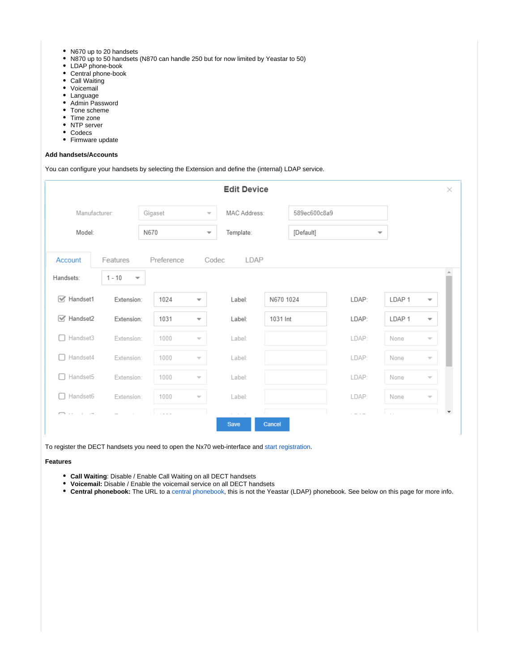- N670 up to 20 handsets
- N870 up to 50 handsets (N870 can handle 250 but for now limited by Yeastar to 50)
- LDAP phone-book
- Central phone-book
- Call Waiting
- Voicemail
- Language
- Admin Password
- Tone scheme
- Time zone
- NTP server
- Codecs
- Firmware update

#### **Add handsets/Accounts**

#### You can configure your handsets by selecting the Extension and define the (internal) LDAP service.

|                               |                                                 |            |                          | <b>Edit Device</b>                            |           |              |                          | $\times$                 |
|-------------------------------|-------------------------------------------------|------------|--------------------------|-----------------------------------------------|-----------|--------------|--------------------------|--------------------------|
|                               | Manufacturer:                                   | Gigaset    | $\overline{\phantom{a}}$ | MAC Address:                                  |           | 589ec600c8a9 |                          |                          |
| Model:                        |                                                 | N670       | $\overline{\phantom{a}}$ | Template:                                     |           | [Default]    | $\overline{\phantom{a}}$ |                          |
| Account<br>Handsets:          | Features<br>$1 - 10$<br>$\overline{\mathbf{v}}$ | Preference |                          | Codec<br>LDAP                                 |           |              |                          |                          |
| $\sqrt{\phantom{a}}$ Handset1 | Extension:                                      | 1024       | $\overline{\phantom{a}}$ | Label:                                        | N670 1024 | LDAP:        | LDAP <sub>1</sub>        | $\overline{\phantom{a}}$ |
| $\sqrt{\phantom{a}}$ Handset2 | Extension:                                      | 1031       | $\overline{\phantom{a}}$ | Label:                                        | 1031 Int  | LDAP:        | LDAP <sub>1</sub>        | $\overline{\phantom{a}}$ |
| Handset3<br>. .               | Extension:                                      | 1000       | $\overline{\phantom{a}}$ | Label:                                        |           | LDAP:        | None                     | $\overline{\phantom{a}}$ |
| Handset4<br>. .               | Extension:                                      | 1000       | $\overline{\phantom{a}}$ | Label:                                        |           | LDAP:        | None                     | $\overline{\phantom{a}}$ |
| Handset5<br>$\mathbf{1}$      | Extension:                                      | 1000       | $\overline{\phantom{a}}$ | Label:                                        |           | LDAP:        | None                     | $\overline{\phantom{a}}$ |
| Handset6<br>$\Box$            | Extension:                                      | 1000       | $\overline{\phantom{a}}$ | Label:                                        |           | LDAP:        | None                     | $\overline{\mathcal{M}}$ |
| 7.                            |                                                 | $\sim$     |                          | $\alpha$ . The set of $\alpha$<br><b>Save</b> | Cancel    | $\sim$ $ -$  | $\sim$                   | $\overline{\phantom{a}}$ |

To register the DECT handsets you need to open the Nx70 web-interface and [start registration](https://teamwork.gigaset.com/gigawiki/display/GPPPO/FAQ+Nx70+-+Mobile+Devices).

**Features**

- **Call Waiting**: Disable / Enable Call Waiting on all DECT handsets
- **Voicemail:** Disable / Enable the voicemail service on all DECT handsets
- **Central phonebook:** The URL to a [central phonebook,](https://teamwork.gigaset.com/gigawiki/pages/viewpage.action?pageId=902955346) this is not the Yeastar (LDAP) phonebook. See below on this page for more info.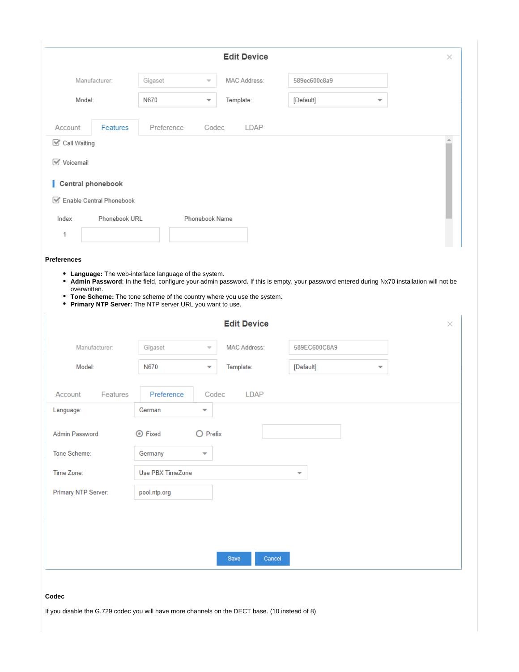|                                                                                                                                                                                                                                                                                                                                                              |                  |                          | <b>Edit Device</b> |              |                          |  |
|--------------------------------------------------------------------------------------------------------------------------------------------------------------------------------------------------------------------------------------------------------------------------------------------------------------------------------------------------------------|------------------|--------------------------|--------------------|--------------|--------------------------|--|
| Manufacturer:                                                                                                                                                                                                                                                                                                                                                | Gigaset          | v                        | MAC Address:       | 589ec600c8a9 |                          |  |
| Model:                                                                                                                                                                                                                                                                                                                                                       | N670             | $\overline{\phantom{a}}$ | Template:          | [Default]    | $\overline{\phantom{a}}$ |  |
|                                                                                                                                                                                                                                                                                                                                                              |                  |                          |                    |              |                          |  |
| Account<br>Features                                                                                                                                                                                                                                                                                                                                          | Preference       | Codec                    | LDAP               |              |                          |  |
| Call Waiting                                                                                                                                                                                                                                                                                                                                                 |                  |                          |                    |              |                          |  |
| <b>√</b> Voicemail                                                                                                                                                                                                                                                                                                                                           |                  |                          |                    |              |                          |  |
| Central phonebook                                                                                                                                                                                                                                                                                                                                            |                  |                          |                    |              |                          |  |
| Enable Central Phonebook                                                                                                                                                                                                                                                                                                                                     |                  |                          |                    |              |                          |  |
| Index<br>Phonebook URL                                                                                                                                                                                                                                                                                                                                       |                  | Phonebook Name           |                    |              |                          |  |
| 1                                                                                                                                                                                                                                                                                                                                                            |                  |                          |                    |              |                          |  |
|                                                                                                                                                                                                                                                                                                                                                              |                  |                          |                    |              |                          |  |
| <b>Preferences</b>                                                                                                                                                                                                                                                                                                                                           |                  |                          |                    |              |                          |  |
| • Language: The web-interface language of the system.<br>• Admin Password: In the field, configure your admin password. If this is empty, your password entered during Nx70 installation will not be<br>overwritten.<br>• Tone Scheme: The tone scheme of the country where you use the system.<br>• Primary NTP Server: The NTP server URL you want to use. |                  |                          |                    |              |                          |  |
|                                                                                                                                                                                                                                                                                                                                                              |                  |                          | <b>Edit Device</b> |              |                          |  |
| Manufacturer:                                                                                                                                                                                                                                                                                                                                                | Gigaset          | $\overline{\phantom{a}}$ | MAC Address:       | 589EC600C8A9 |                          |  |
| Model:                                                                                                                                                                                                                                                                                                                                                       | N670             | ۳                        | Template:          | [Default]    | ▼                        |  |
| Features                                                                                                                                                                                                                                                                                                                                                     | Preference       | Codec                    | LDAP               |              |                          |  |
|                                                                                                                                                                                                                                                                                                                                                              | German           | ▼                        |                    |              |                          |  |
|                                                                                                                                                                                                                                                                                                                                                              | <b>O</b> Fixed   | $\bigcirc$ Prefix        |                    |              |                          |  |
|                                                                                                                                                                                                                                                                                                                                                              | Germany          | ▼                        |                    |              |                          |  |
|                                                                                                                                                                                                                                                                                                                                                              | Use PBX TimeZone |                          |                    | ▼            |                          |  |
| Account<br>Language:<br>Admin Password:<br>Tone Scheme:<br>Time Zone:<br>Primary NTP Server:                                                                                                                                                                                                                                                                 | pool.ntp.org     |                          |                    |              |                          |  |
|                                                                                                                                                                                                                                                                                                                                                              |                  |                          |                    |              |                          |  |
|                                                                                                                                                                                                                                                                                                                                                              |                  |                          |                    |              |                          |  |
|                                                                                                                                                                                                                                                                                                                                                              |                  |                          |                    |              |                          |  |

## **Codec**

If you disable the G.729 codec you will have more channels on the DECT base. (10 instead of 8)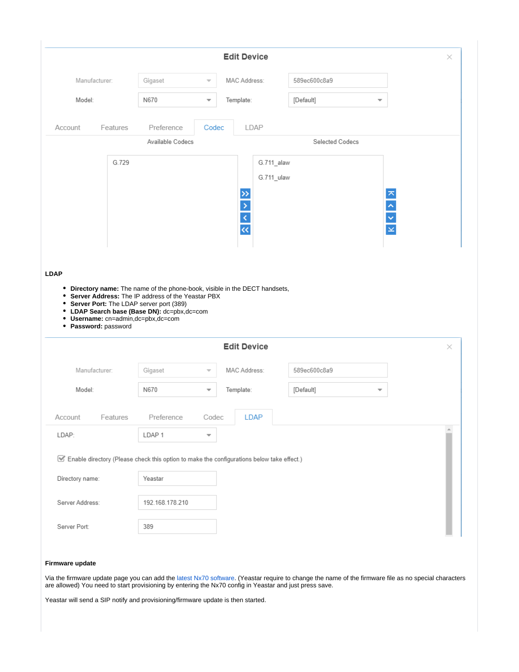|                                 |                    |                                                                                                                                                                                     |                          | <b>Edit Device</b>                                                                        |                                                 | ×             |
|---------------------------------|--------------------|-------------------------------------------------------------------------------------------------------------------------------------------------------------------------------------|--------------------------|-------------------------------------------------------------------------------------------|-------------------------------------------------|---------------|
|                                 | Manufacturer:      | Gigaset                                                                                                                                                                             |                          | MAC Address:                                                                              | 589ec600c8a9                                    |               |
| Model:                          |                    | N670                                                                                                                                                                                | $\overline{\phantom{a}}$ | Template:                                                                                 | [Default]<br>$\overline{\phantom{a}}$           |               |
| Account                         | Features           | Preference                                                                                                                                                                          | Codec                    | LDAP                                                                                      |                                                 |               |
|                                 |                    | Available Codecs                                                                                                                                                                    |                          |                                                                                           | Selected Codecs                                 |               |
|                                 | G.729              |                                                                                                                                                                                     |                          | G.711_alaw<br>G.711_ulaw<br>$\frac{1}{2} \times \frac{1}{2} \times \frac{1}{2}$           | $\triangleright$<br>$\frac{1}{2}$ $\frac{1}{2}$ |               |
|                                 |                    |                                                                                                                                                                                     |                          |                                                                                           |                                                 |               |
| $\bullet$<br>٠                  | Password: password | • Server Address: The IP address of the Yeastar PBX<br>• Server Port: The LDAP server port (389)<br>LDAP Search base (Base DN): dc=pbx,dc=com<br>• Username: cn=admin,dc=pbx,dc=com |                          | • Directory name: The name of the phone-book, visible in the DECT handsets,               |                                                 |               |
|                                 |                    |                                                                                                                                                                                     |                          | <b>Edit Device</b>                                                                        |                                                 |               |
|                                 | Manufacturer:      | Gigaset                                                                                                                                                                             |                          | MAC Address:                                                                              | 589ec600c8a9                                    |               |
| Model:                          |                    | N670                                                                                                                                                                                | $\overline{\phantom{a}}$ | Template:                                                                                 | [Default]<br>$\overline{\phantom{a}}$           |               |
|                                 | Features           | Preference                                                                                                                                                                          | Codec                    | <b>LDAP</b>                                                                               |                                                 |               |
| <b>LDAP</b><br>Account<br>LDAP: |                    | LDAP <sub>1</sub>                                                                                                                                                                   | ▼                        |                                                                                           |                                                 | $\times$<br>盀 |
|                                 |                    |                                                                                                                                                                                     |                          | Enable directory (Please check this option to make the configurations below take effect.) |                                                 |               |
| Directory name:                 |                    | Yeastar                                                                                                                                                                             |                          |                                                                                           |                                                 |               |
| Server Address:                 |                    | 192.168.178.210                                                                                                                                                                     |                          |                                                                                           |                                                 |               |

# **Firmware update**

Via the firmware update page you can add the [latest Nx70 software.](https://teamwork.gigaset.com/gigawiki/pages/viewpage.action?pageId=702251506) (Yeastar require to change the name of the firmware file as no special characters are allowed) You need to start provisioning by entering the Nx70 config in Yeastar and just press save.

Yeastar will send a SIP notify and provisioning/firmware update is then started.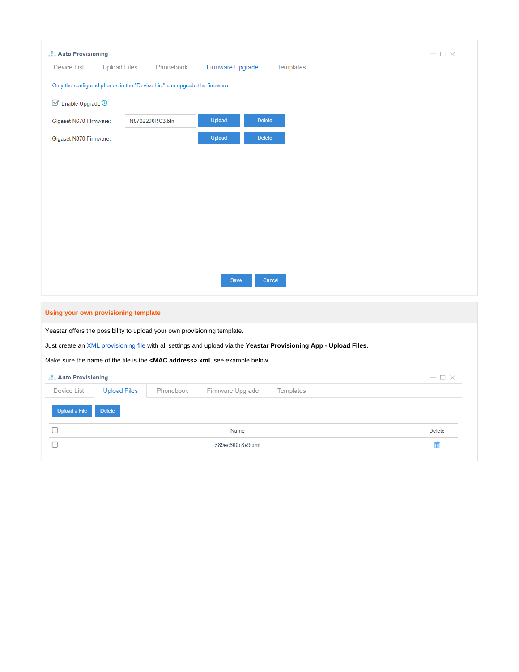| <b>Auto Provisioning</b>                              |                                      |                                                                           |                                                                                      |                                                                                                                    | $ \Box$ $\times$ |
|-------------------------------------------------------|--------------------------------------|---------------------------------------------------------------------------|--------------------------------------------------------------------------------------|--------------------------------------------------------------------------------------------------------------------|------------------|
| <b>Device List</b>                                    | <b>Upload Files</b>                  | Phonebook                                                                 | Firmware Upgrade                                                                     | Templates                                                                                                          |                  |
|                                                       |                                      | Only the configured phones in the "Device List" can upgrade the firmware. |                                                                                      |                                                                                                                    |                  |
| $\boxtimes$ Enable Upgrade $\textcircled{\textsf{D}}$ |                                      |                                                                           |                                                                                      |                                                                                                                    |                  |
| Gigaset N670 Firmware:                                |                                      | N8702290RC3.bin                                                           | <b>Upload</b><br><b>Delete</b>                                                       |                                                                                                                    |                  |
|                                                       |                                      |                                                                           |                                                                                      |                                                                                                                    |                  |
| Gigaset N870 Firmware:                                |                                      |                                                                           | <b>Upload</b><br><b>Delete</b>                                                       |                                                                                                                    |                  |
|                                                       |                                      |                                                                           |                                                                                      |                                                                                                                    |                  |
|                                                       |                                      |                                                                           |                                                                                      |                                                                                                                    |                  |
|                                                       |                                      |                                                                           |                                                                                      |                                                                                                                    |                  |
|                                                       |                                      |                                                                           |                                                                                      |                                                                                                                    |                  |
|                                                       |                                      |                                                                           |                                                                                      |                                                                                                                    |                  |
|                                                       |                                      |                                                                           |                                                                                      |                                                                                                                    |                  |
|                                                       |                                      |                                                                           |                                                                                      |                                                                                                                    |                  |
|                                                       |                                      |                                                                           |                                                                                      |                                                                                                                    |                  |
|                                                       |                                      |                                                                           | Save                                                                                 | Cancel                                                                                                             |                  |
|                                                       |                                      |                                                                           |                                                                                      |                                                                                                                    |                  |
|                                                       | Using your own provisioning template |                                                                           |                                                                                      |                                                                                                                    |                  |
|                                                       |                                      | Yeastar offers the possibility to upload your own provisioning template.  |                                                                                      |                                                                                                                    |                  |
|                                                       |                                      |                                                                           |                                                                                      | Just create an XML provisioning file with all settings and upload via the Yeastar Provisioning App - Upload Files. |                  |
|                                                       |                                      |                                                                           | Make sure the name of the file is the <mac address="">.xml, see example below.</mac> |                                                                                                                    |                  |
|                                                       |                                      |                                                                           |                                                                                      |                                                                                                                    |                  |
| Auto Provisioning                                     |                                      |                                                                           |                                                                                      |                                                                                                                    | $ \Box$ $\times$ |
| Device List                                           | <b>Upload Files</b>                  | Phonebook                                                                 | Firmware Upgrade                                                                     | Templates                                                                                                          |                  |
| <b>Upload a File</b>                                  | <b>Delete</b>                        |                                                                           |                                                                                      |                                                                                                                    |                  |
|                                                       |                                      |                                                                           | Name                                                                                 |                                                                                                                    | Delete           |
| П                                                     |                                      |                                                                           | 589ec600c8a9.xml                                                                     |                                                                                                                    | 面                |